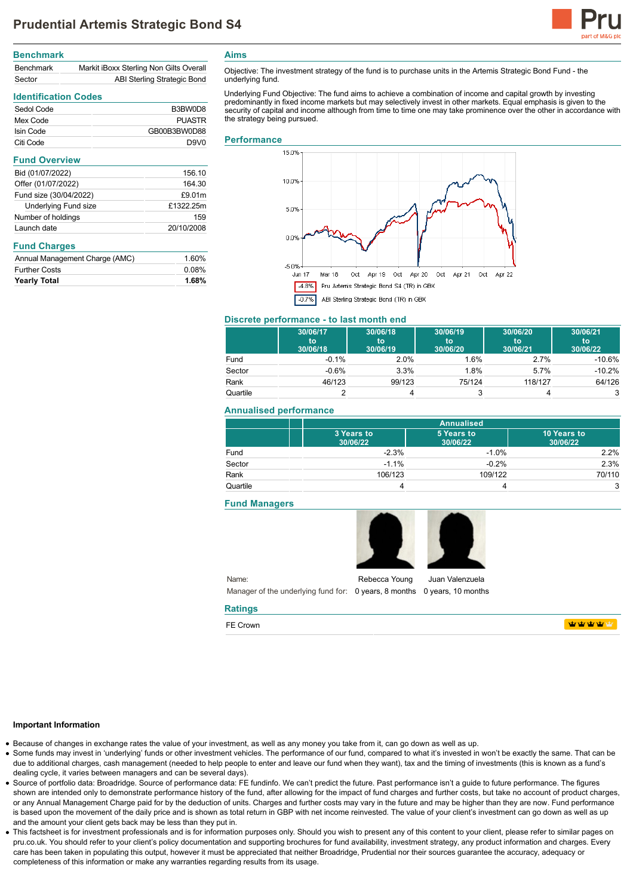

# **Benchmark** Benchmark Markit iBoxx Sterling Non Gilts Overall Sector **ABI Sterling Strategic Bond**

## **Identification Codes**

| Sedol Code | B3BW0D8          |
|------------|------------------|
| Mex Code   | PUASTR           |
| Isin Code  | GB00B3BW0D88     |
| Citi Code  | D9V <sub>0</sub> |

### **Fund Overview**

| Bid (01/07/2022)            | 156.10     |
|-----------------------------|------------|
| Offer (01/07/2022)          | 164.30     |
| Fund size (30/04/2022)      | £9.01m     |
| <b>Underlying Fund size</b> | £1322.25m  |
| Number of holdings          | 159        |
| Launch date                 | 20/10/2008 |

## **Fund Charges**

| <b>Yearly Total</b>            | 1.68% |
|--------------------------------|-------|
| <b>Further Costs</b>           | 0.08% |
| Annual Management Charge (AMC) | 1.60% |

**Aims**

Objective: The investment strategy of the fund is to purchase units in the Artemis Strategic Bond Fund - the underlying fund.

Underlying Fund Objective: The fund aims to achieve a combination of income and capital growth by investing predominantly in fixed income markets but may selectively invest in other markets. Equal emphasis is given to the security of capital and income although from time to time one may take prominence over the other in accordance with the strategy being pursued.

### **Performance**



# **Discrete performance - to last month end**

|          | 30/06/17<br>to<br>30/06/18 | 30/06/18<br>to<br>30/06/19 | 30/06/19<br>to<br>30/06/20 | 30/06/20<br>to<br>30/06/21 | 30/06/21<br>to<br>30/06/22 |
|----------|----------------------------|----------------------------|----------------------------|----------------------------|----------------------------|
| Fund     | $-0.1%$                    | 2.0%                       | 1.6%                       | 2.7%                       | $-10.6%$                   |
| Sector   | $-0.6%$                    | 3.3%                       | 1.8%                       | 5.7%                       | $-10.2%$                   |
| Rank     | 46/123                     | 99/123                     | 75/124                     | 118/127                    | 64/126                     |
| Quartile |                            |                            | 3                          |                            | 3                          |

# **Annualised performance**

|          | <b>Annualised</b>      |                        |                         |
|----------|------------------------|------------------------|-------------------------|
|          | 3 Years to<br>30/06/22 | 5 Years to<br>30/06/22 | 10 Years to<br>30/06/22 |
| Fund     | $-2.3%$                | $-1.0%$                | 2.2%                    |
| Sector   | $-1.1%$                | $-0.2%$                | 2.3%                    |
| Rank     | 106/123                | 109/122                | 70/110                  |
| Quartile |                        |                        | 3                       |

### **Fund Managers**



Name: Manager of the underlying fund for: 0 years, 8 months 0 years, 10 months Rebecca Young Juan Valenzuela

## **Ratings**

FE Crown

**WWWWW** 

### **Important Information**

- Because of changes in exchange rates the value of your investment, as well as any money you take from it, can go down as well as up.
- Some funds may invest in 'underlying' funds or other investment vehicles. The performance of our fund, compared to what it's invested in won't be exactly the same. That can be due to additional charges, cash management (needed to help people to enter and leave our fund when they want), tax and the timing of investments (this is known as a fund's dealing cycle, it varies between managers and can be several days).
- Source of portfolio data: Broadridge. Source of performance data: FE fundinfo. We can't predict the future. Past performance isn't a guide to future performance. The figures shown are intended only to demonstrate performance history of the fund, after allowing for the impact of fund charges and further costs, but take no account of product charges, or any Annual Management Charge paid for by the deduction of units. Charges and further costs may vary in the future and may be higher than they are now. Fund performance is based upon the movement of the daily price and is shown as total return in GBP with net income reinvested. The value of your client's investment can go down as well as up and the amount your client gets back may be less than they put in.
- This factsheet is for investment professionals and is for information purposes only. Should you wish to present any of this content to your client, please refer to similar pages on pru.co.uk. You should refer to your client's policy documentation and supporting brochures for fund availability, investment strategy, any product information and charges. Every care has been taken in populating this output, however it must be appreciated that neither Broadridge, Prudential nor their sources guarantee the accuracy, adequacy or completeness of this information or make any warranties regarding results from its usage.